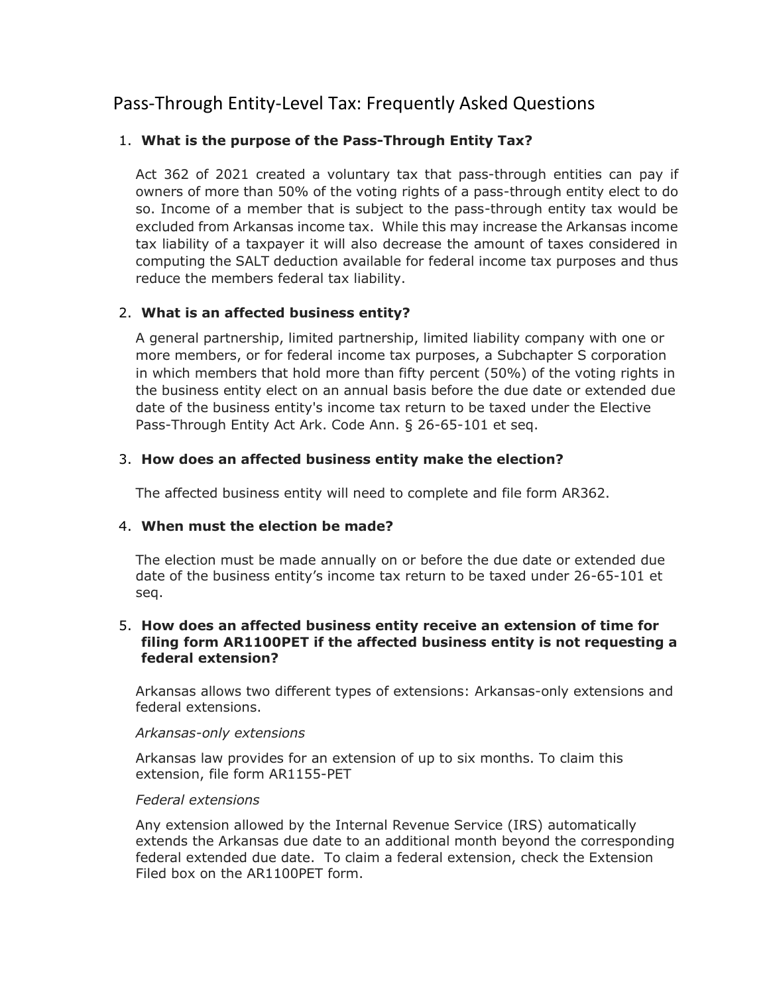# Pass-Through Entity-Level Tax: Frequently Asked Questions

# 1. **What is the purpose of the Pass-Through Entity Tax?**

Act 362 of 2021 created a voluntary tax that pass-through entities can pay if owners of more than 50% of the voting rights of a pass-through entity elect to do so. Income of a member that is subject to the pass-through entity tax would be excluded from Arkansas income tax. While this may increase the Arkansas income tax liability of a taxpayer it will also decrease the amount of taxes considered in computing the SALT deduction available for federal income tax purposes and thus reduce the members federal tax liability.

# 2. **What is an affected business entity?**

A general partnership, limited partnership, limited liability company with one or more members, or for federal income tax purposes, a Subchapter S corporation in which members that hold more than fifty percent (50%) of the voting rights in the business entity elect on an annual basis before the due date or extended due date of the business entity's income tax return to be taxed under the Elective Pass-Through Entity Act Ark. Code Ann. § 26-65-101 et seq.

# 3. **How does an affected business entity make the election?**

The affected business entity will need to complete and file form AR362.

# 4. **When must the election be made?**

The election must be made annually on or before the due date or extended due date of the business entity's income tax return to be taxed under 26-65-101 et seq.

# 5. **How does an affected business entity receive an extension of time for filing form AR1100PET if the affected business entity is not requesting a federal extension?**

Arkansas allows two different types of extensions: Arkansas-only extensions and federal extensions.

# *Arkansas-only extensions*

Arkansas law provides for an extension of up to six months. To claim this extension, file form AR1155-PET

# *Federal extensions*

Any extension allowed by the Internal Revenue Service (IRS) automatically extends the Arkansas due date to an additional month beyond the corresponding federal extended due date. To claim a federal extension, check the Extension Filed box on the AR1100PET form.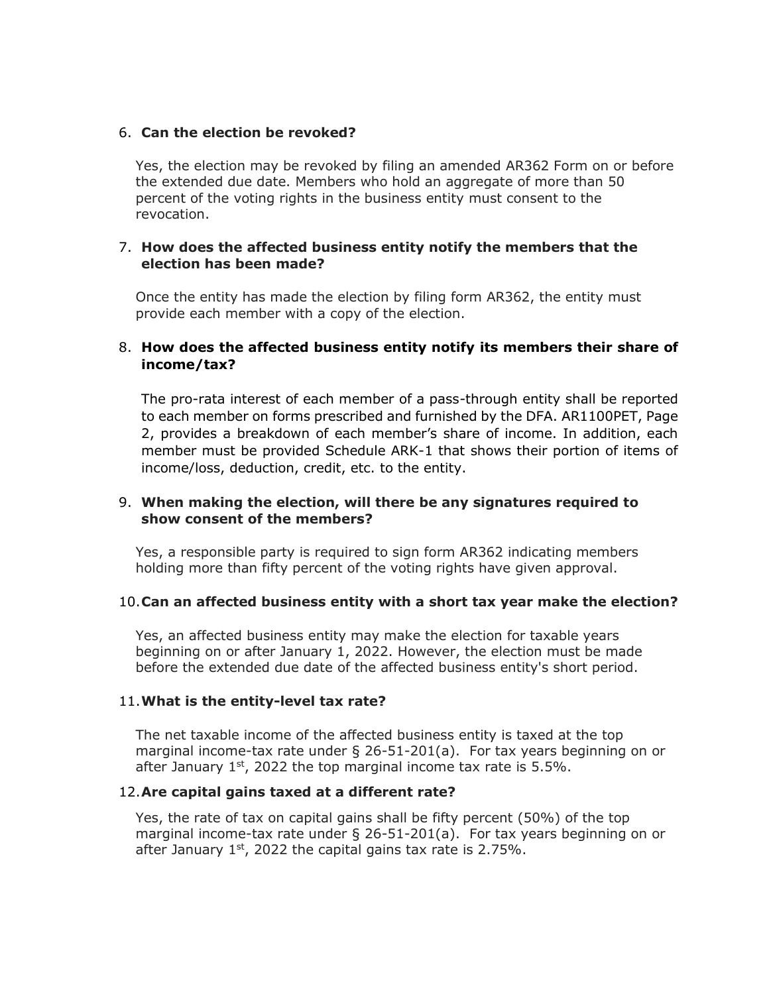## 6. **Can the election be revoked?**

Yes, the election may be revoked by filing an amended AR362 Form on or before the extended due date. Members who hold an aggregate of more than 50 percent of the voting rights in the business entity must consent to the revocation.

# 7. **How does the affected business entity notify the members that the election has been made?**

Once the entity has made the election by filing form AR362, the entity must provide each member with a copy of the election.

# 8. **How does the affected business entity notify its members their share of income/tax?**

The pro-rata interest of each member of a pass-through entity shall be reported to each member on forms prescribed and furnished by the DFA. AR1100PET, Page 2, provides a breakdown of each member's share of income. In addition, each member must be provided Schedule ARK-1 that shows their portion of items of income/loss, deduction, credit, etc. to the entity.

# 9. **When making the election, will there be any signatures required to show consent of the members?**

Yes, a responsible party is required to sign form AR362 indicating members holding more than fifty percent of the voting rights have given approval.

#### 10.**Can an affected business entity with a short tax year make the election?**

Yes, an affected business entity may make the election for taxable years beginning on or after January 1, 2022. However, the election must be made before the extended due date of the affected business entity's short period.

#### 11.**What is the entity-level tax rate?**

The net taxable income of the affected business entity is taxed at the top marginal income-tax rate under § 26-51-201(a). For tax years beginning on or after January  $1<sup>st</sup>$ , 2022 the top marginal income tax rate is  $5.5\%$ .

#### 12.**Are capital gains taxed at a different rate?**

Yes, the rate of tax on capital gains shall be fifty percent (50%) of the top marginal income-tax rate under § 26-51-201(a). For tax years beginning on or after January  $1<sup>st</sup>$ , 2022 the capital gains tax rate is 2.75%.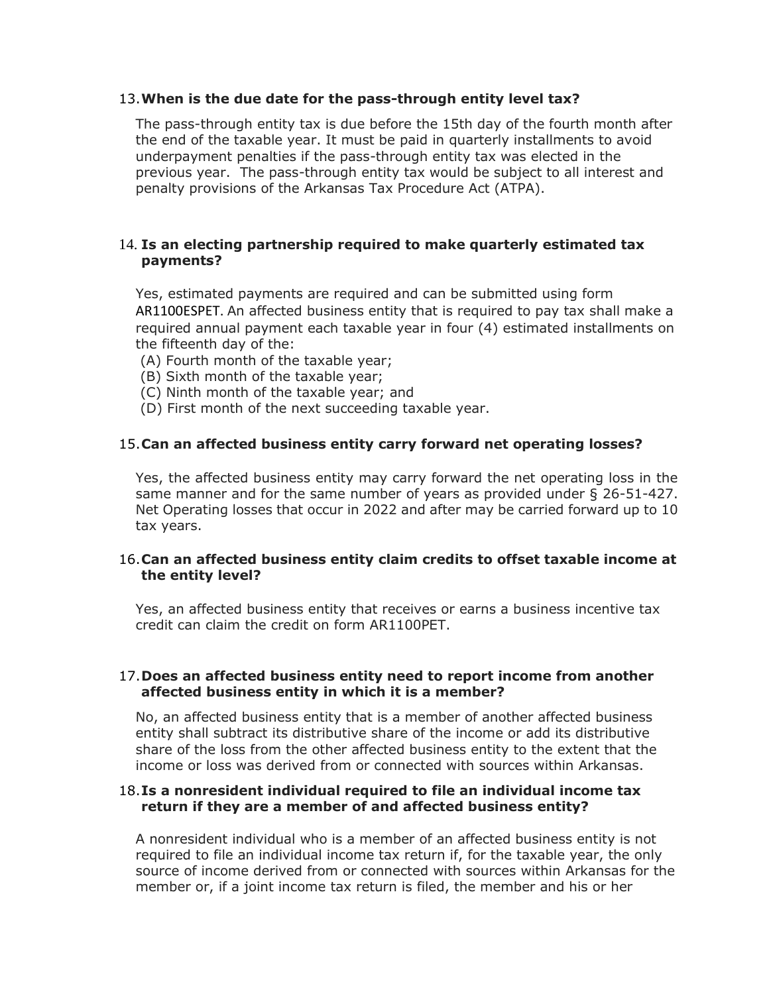# 13.**When is the due date for the pass-through entity level tax?**

The pass-through entity tax is due before the 15th day of the fourth month after the end of the taxable year. It must be paid in quarterly installments to avoid underpayment penalties if the pass-through entity tax was elected in the previous year. The pass-through entity tax would be subject to all interest and penalty provisions of the Arkansas Tax Procedure Act (ATPA).

# 14. **Is an electing partnership required to make quarterly estimated tax payments?**

Yes, estimated payments are required and can be submitted using form AR1100ESPET. An affected business entity that is required to pay tax shall make a required annual payment each taxable year in four (4) estimated installments on the fifteenth day of the:

- (A) Fourth month of the taxable year;
- (B) Sixth month of the taxable year;
- (C) Ninth month of the taxable year; and
- (D) First month of the next succeeding taxable year.

# 15.**Can an affected business entity carry forward net operating losses?**

Yes, the affected business entity may carry forward the net operating loss in the same manner and for the same number of years as provided under § 26-51-427. Net Operating losses that occur in 2022 and after may be carried forward up to 10 tax years.

# 16.**Can an affected business entity claim credits to offset taxable income at the entity level?**

Yes, an affected business entity that receives or earns a business incentive tax credit can claim the credit on form AR1100PET.

# 17.**Does an affected business entity need to report income from another affected business entity in which it is a member?**

No, an affected business entity that is a member of another affected business entity shall subtract its distributive share of the income or add its distributive share of the loss from the other affected business entity to the extent that the income or loss was derived from or connected with sources within Arkansas.

# 18.**Is a nonresident individual required to file an individual income tax return if they are a member of and affected business entity?**

A nonresident individual who is a member of an affected business entity is not required to file an individual income tax return if, for the taxable year, the only source of income derived from or connected with sources within Arkansas for the member or, if a joint income tax return is filed, the member and his or her